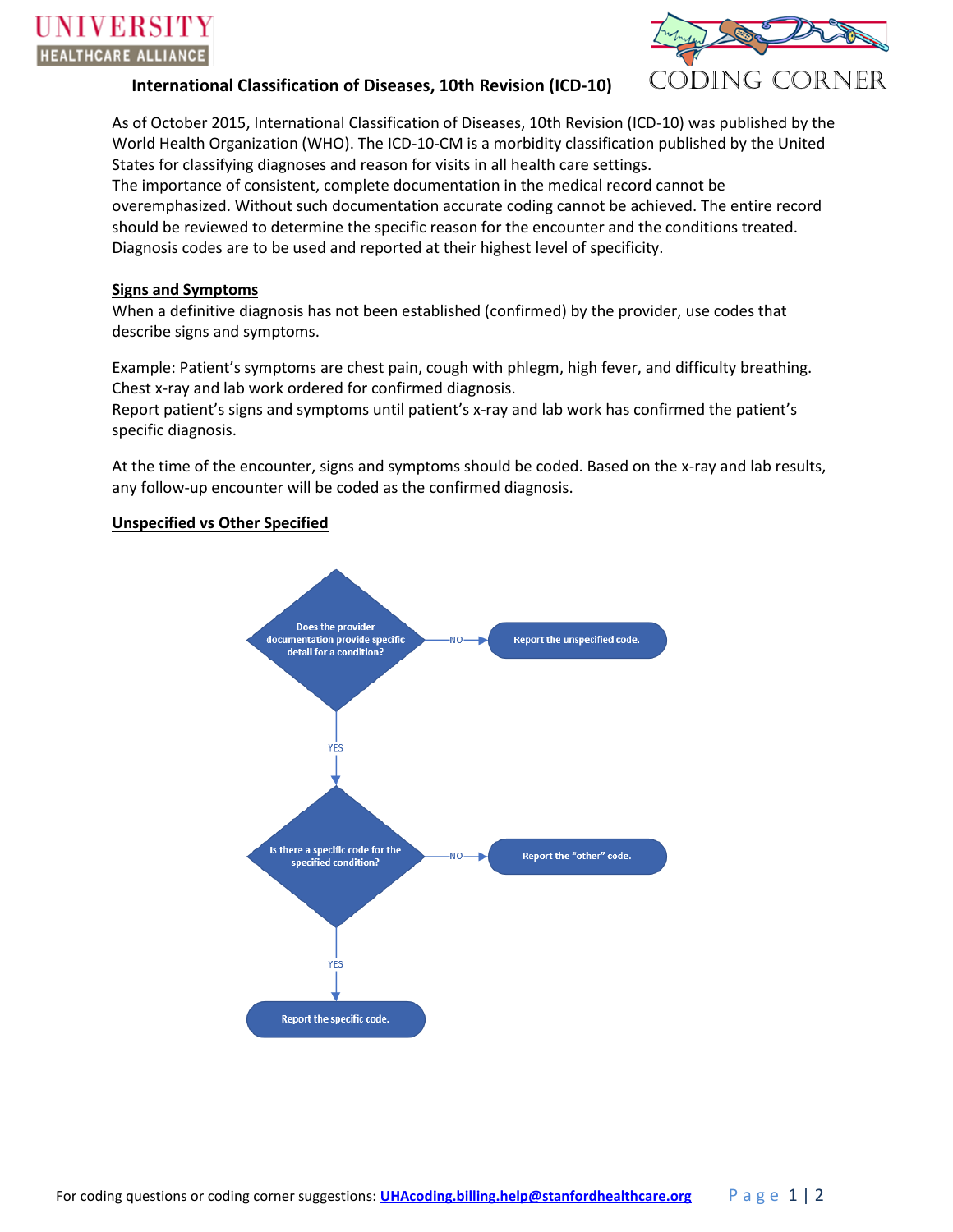

# **International Classification of Diseases, 10th Revision (ICD-10)** CODING CORNER

As of October 2015, International Classification of Diseases, 10th Revision (ICD-10) was published by the World Health Organization (WHO). The ICD-10-CM is a morbidity classification published by the United States for classifying diagnoses and reason for visits in all health care settings.

The importance of consistent, complete documentation in the medical record cannot be overemphasized. Without such documentation accurate coding cannot be achieved. The entire record should be reviewed to determine the specific reason for the encounter and the conditions treated. Diagnosis codes are to be used and reported at their highest level of specificity.

#### **Signs and Symptoms**

When a definitive diagnosis has not been established (confirmed) by the provider, use codes that describe signs and symptoms.

Example: Patient's symptoms are chest pain, cough with phlegm, high fever, and difficulty breathing. Chest x-ray and lab work ordered for confirmed diagnosis.

Report patient's signs and symptoms until patient's x-ray and lab work has confirmed the patient's specific diagnosis.

At the time of the encounter, signs and symptoms should be coded. Based on the x-ray and lab results, any follow-up encounter will be coded as the confirmed diagnosis.

### **Unspecified vs Other Specified**